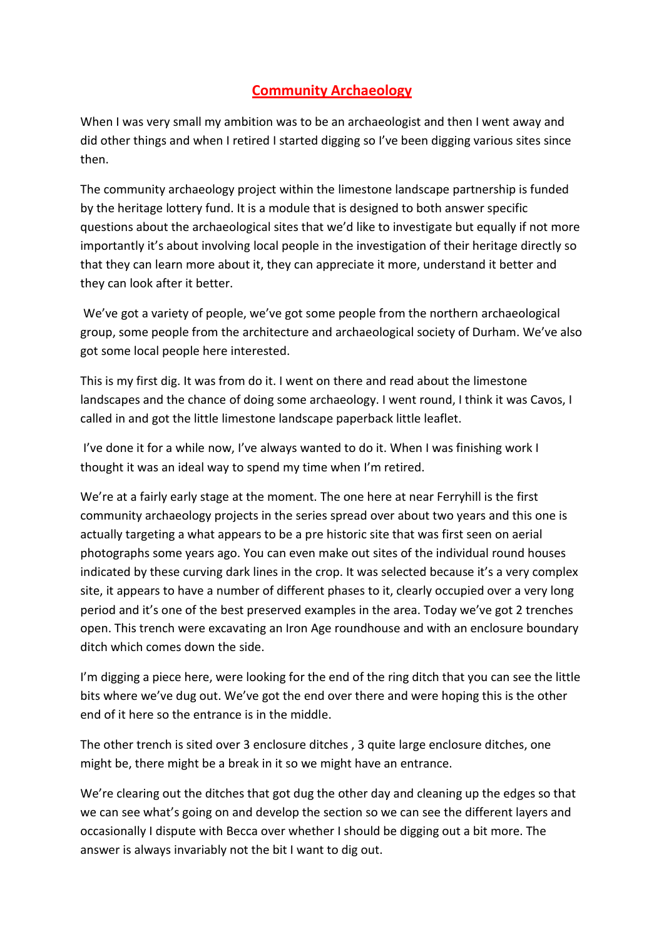## **Community Archaeology**

When I was very small my ambition was to be an archaeologist and then I went away and did other things and when I retired I started digging so I've been digging various sites since then.

The community archaeology project within the limestone landscape partnership is funded by the heritage lottery fund. It is a module that is designed to both answer specific questions about the archaeological sites that we'd like to investigate but equally if not more importantly it's about involving local people in the investigation of their heritage directly so that they can learn more about it, they can appreciate it more, understand it better and they can look after it better.

We've got a variety of people, we've got some people from the northern archaeological group, some people from the architecture and archaeological society of Durham. We've also got some local people here interested.

This is my first dig. It was from do it. I went on there and read about the limestone landscapes and the chance of doing some archaeology. I went round, I think it was Cavos, I called in and got the little limestone landscape paperback little leaflet.

I've done it for a while now, I've always wanted to do it. When I was finishing work I thought it was an ideal way to spend my time when I'm retired.

We're at a fairly early stage at the moment. The one here at near Ferryhill is the first community archaeology projects in the series spread over about two years and this one is actually targeting a what appears to be a pre historic site that was first seen on aerial photographs some years ago. You can even make out sites of the individual round houses indicated by these curving dark lines in the crop. It was selected because it's a very complex site, it appears to have a number of different phases to it, clearly occupied over a very long period and it's one of the best preserved examples in the area. Today we've got 2 trenches open. This trench were excavating an Iron Age roundhouse and with an enclosure boundary ditch which comes down the side.

I'm digging a piece here, were looking for the end of the ring ditch that you can see the little bits where we've dug out. We've got the end over there and were hoping this is the other end of it here so the entrance is in the middle.

The other trench is sited over 3 enclosure ditches , 3 quite large enclosure ditches, one might be, there might be a break in it so we might have an entrance.

We're clearing out the ditches that got dug the other day and cleaning up the edges so that we can see what's going on and develop the section so we can see the different layers and occasionally I dispute with Becca over whether I should be digging out a bit more. The answer is always invariably not the bit I want to dig out.